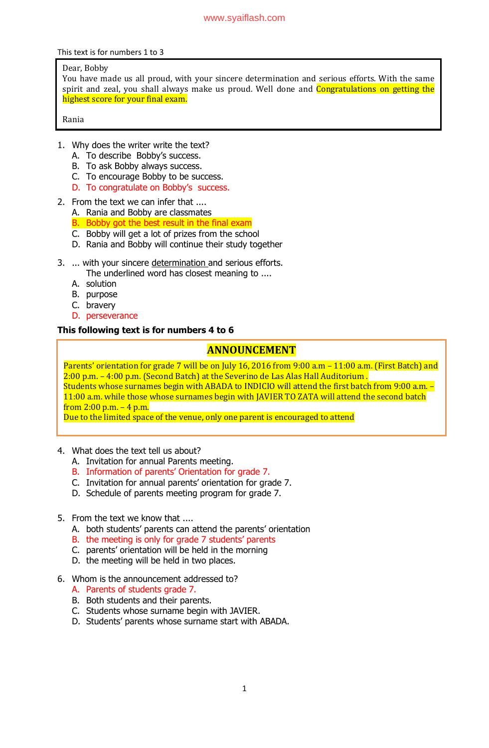This text is for numbers 1 to 3

### Dear, Bobby

You have made us all proud, with your sincere determination and serious efforts. With the same spirit and zeal, you shall always make us proud. Well done and **Congratulations on getting the** highest score for your final exam.

Rania

- 1. Why does the writer write the text?
	- A. To describe Bobby's success.
	- B. To ask Bobby always success.
	- C. To encourage Bobby to be success.
	- D. To congratulate on Bobby's success.
- 2. From the text we can infer that ....
	- A. Rania and Bobby are classmates
	- B. Bobby got the best result in the final exam
	- C. Bobby will get a lot of prizes from the school
	- D. Rania and Bobby will continue their study together
- 3. ... with your sincere determination and serious efforts.
	- The underlined word has closest meaning to ....
	- A. solution
	- B. purpose
	- C. bravery
	- D. perseverance

## **This following text is for numbers 4 to 6**

# **ANNOUNCEMENT**

Parents' orientation for grade 7 will be on July 16, 2016 from 9:00 a.m - 11:00 a.m. (First Batch) and 2:00 p.m. – 4:00 p.m. (Second Batch) at the Severino de Las Alas Hall Auditorium . Students whose surnames begin with ABADA to INDICIO will attend the first batch from 9:00 a.m. – 11:00 a.m. while those whose surnames begin with JAVIER TO ZATA will attend the second batch from  $2:00$  p.m.  $-4$  p.m.

Due to the limited space of the venue, only one parent is encouraged to attend

- 4. What does the text tell us about?
	- A. Invitation for annual Parents meeting.
	- B. Information of parents' Orientation for grade 7.
	- C. Invitation for annual parents" orientation for grade 7.
	- D. Schedule of parents meeting program for grade 7.
- 5. From the text we know that ....
	- A. both students' parents can attend the parents' orientation
	- B. the meeting is only for grade 7 students' parents
	- C. parents" orientation will be held in the morning
	- D. the meeting will be held in two places.
- 6. Whom is the announcement addressed to?
	- A. Parents of students grade 7.
	- B. Both students and their parents.
	- C. Students whose surname begin with JAVIER.
	- D. Students" parents whose surname start with ABADA.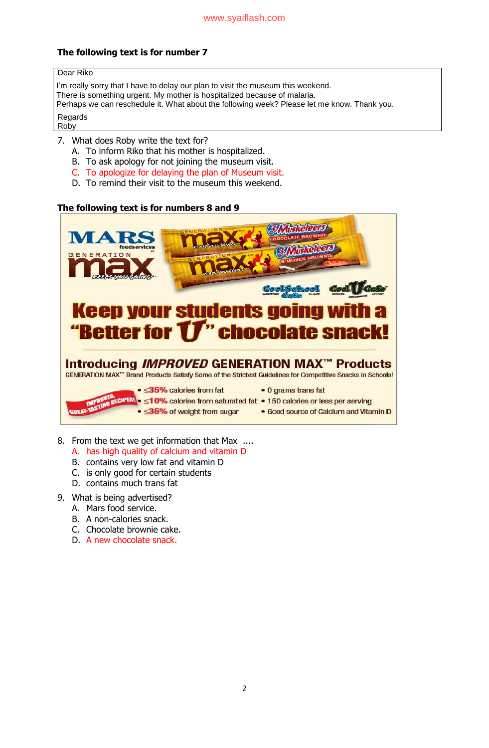## **The following text is for number 7**

#### Dear Riko

I'm really sorry that I have to delay our plan to visit the museum this weekend. There is something urgent. My mother is hospitalized because of malaria. Perhaps we can reschedule it. What about the following week? Please let me know. Thank you.

**Regards** Roby

- 7. What does Roby write the text for?
	- A. To inform Riko that his mother is hospitalized.
	- B. To ask apology for not joining the museum visit.
	- C. To apologize for delaying the plan of Museum visit.
	- D. To remind their visit to the museum this weekend.

## **The following text is for numbers 8 and 9**



- 8. From the text we get information that Max ....
	- A. has high quality of calcium and vitamin D
	- B. contains very low fat and vitamin D
	- C. is only good for certain students
	- D. contains much trans fat
- 9. What is being advertised?
	- A. Mars food service.
	- B. A non-calories snack.
	- C. Chocolate brownie cake.
	- D. A new chocolate snack.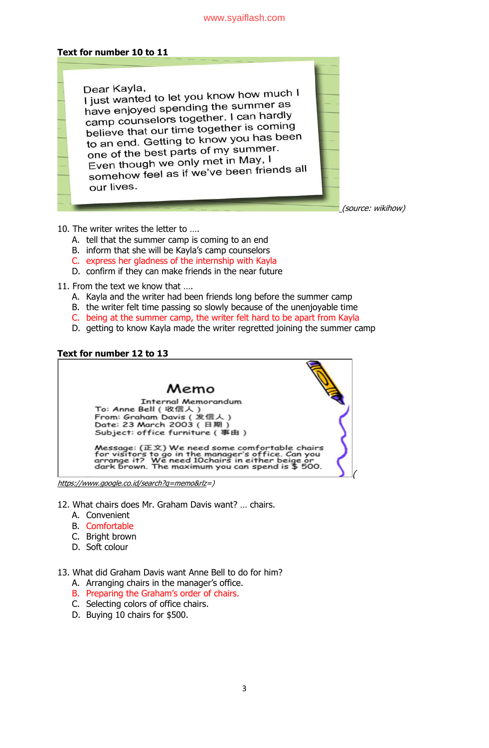### [www.syaiflash.com](http://www.syaiflash.com/)

#### **Text for number 10 to 1[1](http://www.facebook.com/sharer.php?u=https%3A%2F%2Fwww.thoughtfortoday.org.uk%2Fthe-secret-of-happiness%2F&t=The%20Secret%20of%20Happiness)**

Dear Kayla, Dear Kayla,<br>I just wanted to let you know how much I I just wanted to let you whow the light as have enjoyed speritung the canne<br>camp counselors together. I can hardly believe that our time together is coming<br>believe that our time together is coming believe that our time together to serve<br>to an end. Getting to know you has been to an end. Getting to Khott you.<br>one of the best parts of my summer. one of the best parts of my semi-<br>Even though we only met in May, I Even though we only then may, our lives.

(source: wikihow)

(

- 10. The writer writes the letter to ….
	- A. tell that the summer camp is coming to an end
	- B. inform that she will be Kayla's camp counselors
	- C. express her gladness of the internship with Kayla
	- D. confirm if they can make friends in the near future
- 11. From the text we know that ….
	- A. Kayla and the writer had been friends long before the summer camp
	- B. the writer felt time passing so slowly because of the unenjoyable time
	- C. being at the summer camp, the writer felt hard to be apart from Kayla
	- D. getting to know Kayla made the writer regretted joining the summer camp

### **Text for number 12 to 13**



[https://www.google.co.id/search?q=memo&rlz=](https://www.google.co.id/search?q=memo&rlz))

- 12. What chairs does Mr. Graham Davis want? … chairs.
	- A. Convenient
	- B. Comfortable
	- C. Bright brown
	- D. Soft colour

13. What did Graham Davis want Anne Bell to do for him?

- A. Arranging chairs in the manager's office.
- B. Preparing the Graham's order of chairs.
- C. Selecting colors of office chairs.
- D. Buying 10 chairs for \$500.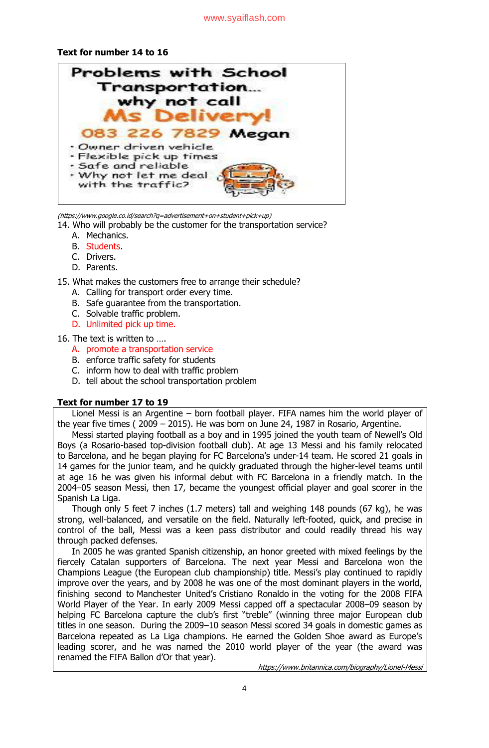## **Text for number 14 to 16**



(https://www.google.co.id/search?q=advertisement+on+student+pick+up)

- 14. Who will probably be the customer for the transportation service?
	- A. Mechanics.
	- B. Students.
	- C. Drivers.
	- D. Parents.

15. What makes the customers free to arrange their schedule?

- A. Calling for transport order every time.
- B. Safe guarantee from the transportation.
- C. Solvable traffic problem.
- D. Unlimited pick up time.

16. The text is written to ….

- A. promote a transportation service
- B. enforce traffic safety for students
- C. inform how to deal with traffic problem
- D. tell about the school transportation problem

## **Text for number 17 to 19**

Lionel Messi is an Argentine – born football player. FIFA names him the world player of the year five times ( 2009 – 2015). He was born on June 24, 1987 in Rosario, Argentine.

Messi started playing football as a boy and in 1995 joined the youth team of Newell"s Old Boys (a Rosario-based top-division football club). At age 13 Messi and his family relocated to [Barcelona,](https://www.britannica.com/place/Barcelona) and he began playing for FC [Barcelona](https://www.britannica.com/topic/FC-Barcelona)'s under-14 team. He scored 21 goals in 14 games for the junior team, and he quickly graduated through the higher-level teams until at age 16 he was given his informal debut with FC Barcelona in a friendly match. In the 2004–05 season Messi, then 17, became the youngest official player and goal scorer in the Spanish La Liga.

Though only 5 feet 7 inches (1.7 meters) tall and weighing 148 pounds (67 kg), he was strong, well-balanced, and versatile on the field. Naturally left-footed, quick, and precise in control of the ball, Messi was a keen pass distributor and could readily thread his way through packed defenses.

In 2005 he was granted Spanish [citizenship,](https://www.britannica.com/topic/citizenship) an honor greeted with mixed feelings by the fiercely Catalan supporters of Barcelona. The next year Messi and Barcelona won the Champions League (the European club championship) title. Messi"s play continued to rapidly improve over the years, and by 2008 he was one of the most dominant players in the world, finishing second to [Manchester](https://www.britannica.com/topic/Manchester-United) United's [Cristiano](https://www.britannica.com/biography/Cristiano-Ronaldo) Ronaldo in the voting for the 2008 FIFA World Player of the Year. In early 2009 Messi capped off a spectacular 2008–09 season by helping FC Barcelona capture the club's first "treble" (winning three major European club titles in one season. During the 2009–10 season Messi scored 34 goals in domestic games as Barcelona repeated as La Liga champions. He earned the Golden Shoe award as Europe"s leading scorer, and he was named the 2010 world player of the year (the award was renamed the FIFA Ballon d"Or that year).

https://www.britannica.com/biography/Lionel-Messi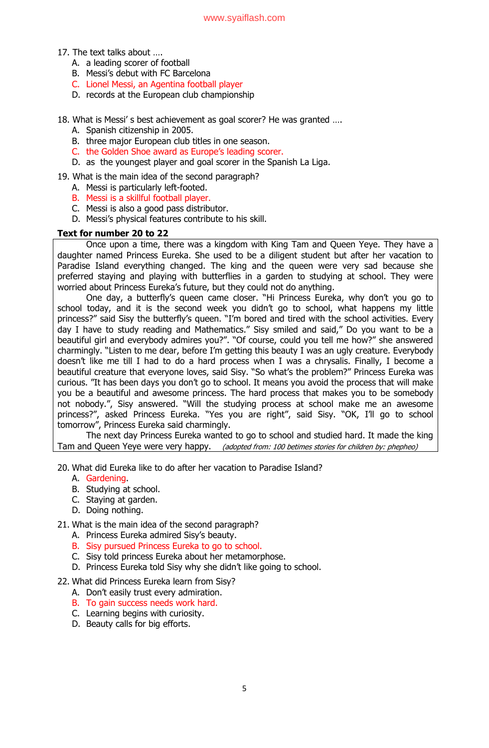- 17. The text talks about ….
	- A. a leading scorer of football
	- B. Messi"s debut with FC Barcelona
	- C. Lionel Messi, an Agentina football player
	- D. records at the European club championship
- 18. What is Messi" s best achievement as goal scorer? He was granted ….
	- A. Spanish citizenship in 2005.
	- B. three major European club titles in one season.
	- C. the Golden Shoe award as Europe's leading scorer.
	- D. as the youngest player and goal scorer in the Spanish La Liga.

## 19. What is the main idea of the second paragraph?

- A. Messi is particularly left-footed.
- B. Messi is a skillful football player.
- C. Messi is also a good pass distributor.
- D. Messi"s physical features contribute to his skill.

## **Text for number 20 to 22**

Once upon a time, there was a kingdom with King Tam and Queen Yeye. They have a daughter named Princess Eureka. She used to be a diligent student but after her vacation to Paradise Island everything changed. The king and the queen were very sad because she preferred staying and playing with butterflies in a garden to studying at school. They were worried about Princess Eureka"s future, but they could not do anything.

One day, a butterfly"s queen came closer. "Hi Princess Eureka, why don"t you go to school today, and it is the second week you didn't go to school, what happens my little princess?" said Sisy the butterfly's queen. "I'm bored and tired with the school activities. Every day I have to study reading and Mathematics." Sisy smiled and said," Do you want to be a beautiful girl and everybody admires you?". "Of course, could you tell me how?" she answered charmingly. "Listen to me dear, before I"m getting this beauty I was an ugly creature. Everybody doesn"t like me till I had to do a hard process when I was a chrysalis. Finally, I become a beautiful creature that everyone loves, said Sisy. "So what"s the problem?" Princess Eureka was curious. "It has been days you don"t go to school. It means you avoid the process that will make you be a beautiful and awesome princess. The hard process that makes you to be somebody not nobody.", Sisy answered. "Will the studying process at school make me an awesome princess?", asked Princess Eureka. "Yes you are right", said Sisy. "OK, I"ll go to school tomorrow", Princess Eureka said charmingly.

The next day Princess Eureka wanted to go to school and studied hard. It made the king Tam and Queen Yeye were very happy. *(adopted from: 100 betimes stories for children by: phepheo)* 

- 20. What did Eureka like to do after her vacation to Paradise Island?
	- A. Gardening.
	- B. Studying at school.
	- C. Staying at garden.
	- D. Doing nothing.

### 21. What is the main idea of the second paragraph?

- A. Princess Eureka admired Sisy"s beauty.
- B. Sisy pursued Princess Eureka to go to school.
- C. Sisy told princess Eureka about her metamorphose.
- D. Princess Eureka told Sisy why she didn't like going to school.

## 22. What did Princess Eureka learn from Sisy?

- A. Don"t easily trust every admiration.
- B. To gain success needs work hard.
- C. Learning begins with curiosity.
- D. Beauty calls for big efforts.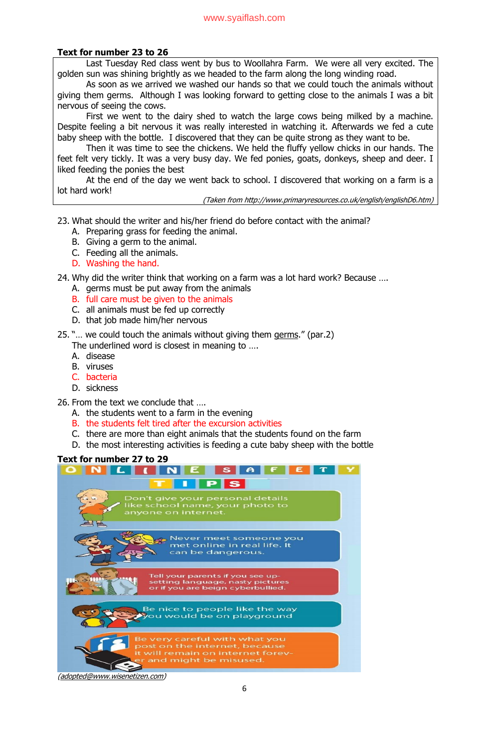#### [www.syaiflash.com](http://www.syaiflash.com/)

### **Text for number 23 to 26**

Last Tuesday Red class went by bus to Woollahra Farm. We were all very excited. The golden sun was shining brightly as we headed to the farm along the long winding road.

As soon as we arrived we washed our hands so that we could touch the animals without giving them germs. Although I was looking forward to getting close to the animals I was a bit nervous of seeing the cows.

First we went to the dairy shed to watch the large cows being milked by a machine. Despite feeling a bit nervous it was really interested in watching it. Afterwards we fed a cute baby sheep with the bottle. I discovered that they can be quite strong as they want to be.

Then it was time to see the chickens. We held the fluffy yellow chicks in our hands. The feet felt very tickly. It was a very busy day. We fed ponies, goats, donkeys, sheep and deer. I liked feeding the ponies the best

At the end of the day we went back to school. I discovered that working on a farm is a lot hard work!

(Taken from [http://www.primaryresources.co.uk/english/englishD6.htm\)](http://www.primaryresources.co.uk/english/englishD6.htm)

- 23. What should the writer and his/her friend do before contact with the animal?
	- A. Preparing grass for feeding the animal.
	- B. Giving a germ to the animal.
	- C. Feeding all the animals.
	- D. Washing the hand.

24. Why did the writer think that working on a farm was a lot hard work? Because ….

- A. germs must be put away from the animals
- B. full care must be given to the animals
- C. all animals must be fed up correctly
- D. that job made him/her nervous
- 25. "… we could touch the animals without giving them germs." (par.2) The underlined word is closest in meaning to ….
	- A. disease
	- B. viruses
	- C. bacteria
	- D. sickness

26. From the text we conclude that ….

- A. the students went to a farm in the evening
- B. the students felt tired after the excursion activities
- C. there are more than eight animals that the students found on the farm
- D. the most interesting activities is feeding a cute baby sheep with the bottle

## **Text for number 27 to 29**



[\(adopted@www.wisenetizen.com\)](mailto:adopted@www.wisenetizen.com)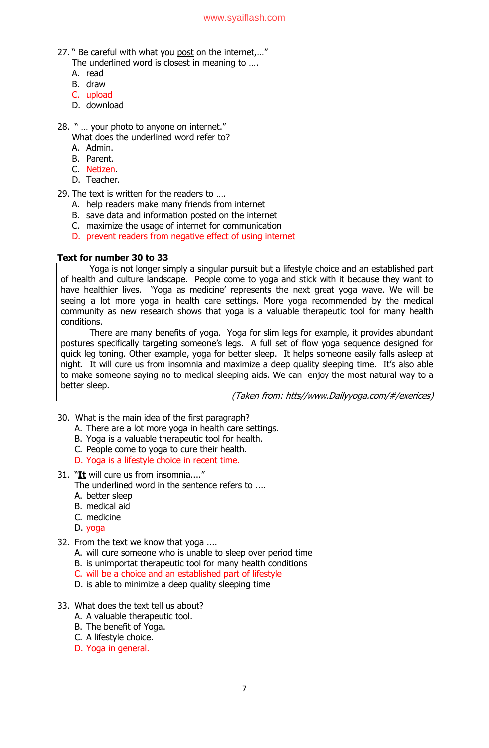- 27. " Be careful with what you post on the internet,…" The underlined word is closest in meaning to ....
	- A. read
	- B. draw
	- C. upload
	- D. download
- 28. " ... your photo to anyone on internet."
	- What does the underlined word refer to?
	- A. Admin.
	- B. Parent.
	- C. Netizen.
	- D. Teacher.

29. The text is written for the readers to ….

- A. help readers make many friends from internet
- B. save data and information posted on the internet
- C. maximize the usage of internet for communication
- D. prevent readers from negative effect of using internet

## **Text for number 30 to 33**

Yoga is not longer simply a singular pursuit but a lifestyle choice and an established part of health and culture landscape. People come to yoga and stick with it because they want to have healthier lives. 'Yoga as medicine' represents the next great yoga wave. We will be seeing a lot more yoga in health care settings. More yoga recommended by the medical community as new research shows that yoga is a valuable therapeutic tool for many health conditions.

There are many benefits of yoga. Yoga for slim legs for example, it provides abundant postures specifically targeting someone's legs. A full set of flow yoga sequence designed for quick leg toning. Other example, yoga for better sleep. It helps someone easily falls asleep at night. It will cure us from insomnia and maximize a deep quality sleeping time. It's also able to make someone saying no to medical sleeping aids. We can enjoy the most natural way to a better sleep.

(Taken from: htts//www.Dailyyoga.com/#/exerices)

- 30. What is the main idea of the first paragraph?
	- A. There are a lot more yoga in health care settings.
	- B. Yoga is a valuable therapeutic tool for health.
	- C. People come to yoga to cure their health.
	- D. Yoga is a lifestyle choice in recent time.
- 31. "**It** will cure us from insomnia...."

The underlined word in the sentence refers to ....

- A. better sleep
- B. medical aid
- C. medicine
- D. yoga
- 32. From the text we know that yoga ....
	- A. will cure someone who is unable to sleep over period time
	- B. is unimportat therapeutic tool for many health conditions
	- C. will be a choice and an established part of lifestyle
	- D. is able to minimize a deep quality sleeping time
- 33. What does the text tell us about?
	- A. A valuable therapeutic tool.
	- B. The benefit of Yoga.
	- C. A lifestyle choice.
	- D. Yoga in general.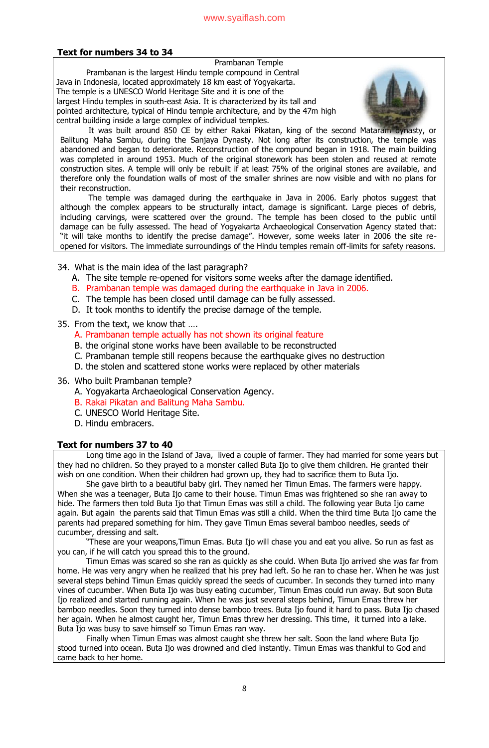## **Text for numbers 34 to 34**

Prambanan Temple Prambanan is the largest Hindu temple compound in Central Java in Indonesia, located approximately 18 km east of Yogyakarta. The temple is a UNESCO World Heritage Site and it is one of the largest Hindu temples in south-east Asia. It is characterized by its tall and pointed architecture, typical of Hindu temple architecture, and by the 47m high central building inside a large complex of individual temples.



It was built around 850 CE by either Rakai Pikatan, king of the second Mataram dynasty, or Balitung Maha Sambu, during the Sanjaya Dynasty. Not long after its construction, the temple was abandoned and began to deteriorate. Reconstruction of the compound began in 1918. The main building was completed in around 1953. Much of the original stonework has been stolen and reused at remote construction sites. A temple will only be rebuilt if at least 75% of the original stones are available, and therefore only the foundation walls of most of the smaller shrines are now visible and with no plans for their reconstruction.

The temple was damaged during the earthquake in Java in 2006. Early photos suggest that although the complex appears to be structurally intact, damage is significant. Large pieces of debris, including carvings, were scattered over the ground. The temple has been closed to the public until damage can be fully assessed. The head of Yogyakarta Archaeological Conservation Agency stated that: "it will take months to identify the precise damage". However, some weeks later in 2006 the site reopened for visitors. The immediate surroundings of the Hindu temples remain off-limits for safety reasons.

### 34. What is the main idea of the last paragraph?

- A. The site temple re-opened for visitors some weeks after the damage identified.
- B. Prambanan temple was damaged during the earthquake in Java in 2006.
- C. The temple has been closed until damage can be fully assessed.
- D. It took months to identify the precise damage of the temple.

## 35. From the text, we know that ….

- A. Prambanan temple actually has not shown its original feature
- B. the original stone works have been available to be reconstructed
- C. Prambanan temple still reopens because the earthquake gives no destruction
- D. the stolen and scattered stone works were replaced by other materials
- 36. Who built Prambanan temple?
	- A. Yogyakarta Archaeological Conservation Agency.
	- B. Rakai Pikatan and Balitung Maha Sambu.
	- C. UNESCO World Heritage Site.
	- D. Hindu embracers.

### **Text for numbers 37 to 40**

Long time ago in the Island of Java, lived a couple of farmer. They had [married](http://www.isdaryanto.com/narrative-text-romeo-and-juliet-romantic-story) for some years but they had no children. So they prayed to a monster called Buta Ijo to give them children. He granted their wish on one condition. When their children had grown up, they had to sacrifice them to Buta Ijo.

She gave birth to a beautiful baby girl. They named her [Timun Emas.](http://www.isdaryanto.com/narrative-text-the-story-of-timun-emas) The farmers were happy. When she was a teenager, Buta Ijo came to their house. Timun Emas was frightened so she ran away to hide. The farmers then told Buta Ijo that Timun Emas was still a child. The following year Buta Ijo came again. But again the parents said that Timun Emas was still a child. When the third time [Buta Ijo](http://www.isdaryanto.com/narrative-text-the-story-of-timun-emas) came the parents had prepared something for him. They gave Timun Emas several bamboo needles, seeds of cucumber, dressing and salt.

"These are your weapons,Timun Emas. Buta Ijo will chase you and eat you alive. So run as fast as you can, if he will catch you spread this to the ground.

Timun Emas was scared so she ran as quickly as she could. When Buta Ijo arrived she was far from home. He was very angry when he realized that his prey had left. So he ran to chase her. When he was just several steps behind Timun Emas quickly spread the seeds of cucumber. In seconds they turned into many vines of cucumber. When Buta Ijo was busy eating cucumber, Timun Emas could run away. But soon Buta Ijo realized and started running again. When he was just several steps behind, Timun Emas threw her bamboo needles. Soon they turned into dense bamboo trees. Buta Ijo found it hard to pass. Buta Ijo chased her again. When he almost caught her, Timun Emas threw her dressing. This time, it turned into a lake. Buta Ijo was busy to save himself so Timun Emas ran way.

Finally when [Timun](http://www.isdaryanto.com/narrative-text-the-story-of-timun-emas) Emas was almost caught she threw her salt. Soon the land where Buta Ijo stood turned into ocean. Buta Ijo was drowned and died instantly. Timun Emas was thankful to God and came back to her home.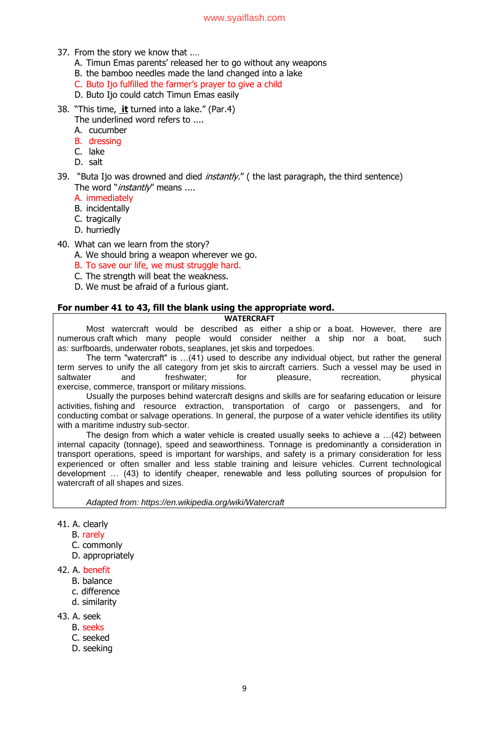#### [www.syaiflash.com](http://www.syaiflash.com/)

- 37. From the story we know that .…
	- A. Timun Emas parents' released her to go without any weapons
	- B. the bamboo needles made the land changed into a lake
	- C. Buto Ijo fulfilled the farmer"s prayer to give a child
	- D. Buto Ijo could catch Timun Emas easily
- 38. "This time, **it** turned into a lake." (Par.4)
	- The underlined word refers to ....
	- A. cucumber
	- B. dressing
	- C. lake
	- D. salt
- 39. "Buta Ijo was drowned and died *instantly."* ( the last paragraph, the third sentence) The word "*instantly*" means ....
	- A. immediately
	- B. incidentally
	- C. tragically
	- D. hurriedly
- 40. What can we learn from the story?
	- A. We should bring a weapon wherever we go.
	- B. To save our life, we must struggle hard.
	- C. The strength will beat the weakness.
	- D. We must be afraid of a furious giant.

## **For number 41 to 43, fill the blank using the appropriate word.**

#### **WATERCRAFT**

Most watercraft would be described as either a [ship](https://en.wikipedia.org/wiki/Ship) or a [boat.](https://en.wikipedia.org/wiki/Boat) However, there are numerous [craft](https://en.wikipedia.org/wiki/Craft_(vehicle)) which many people would consider neither a ship nor a boat, such as: [surfboards,](https://en.wikipedia.org/wiki/Surfboard) [underwater robots,](https://en.wikipedia.org/wiki/Robot) [seaplanes,](https://en.wikipedia.org/wiki/Seaplane) jet [skis](https://en.wikipedia.org/wiki/Jetski) and [torpedoes.](https://en.wikipedia.org/wiki/Torpedo)

The term "watercraft" is …(41) used to describe any individual object, but rather the general term serves to unify the all category from [jet skis](https://en.wikipedia.org/wiki/Personal_watercraft) to [aircraft carriers.](https://en.wikipedia.org/wiki/Aircraft_carrier) Such a vessel may be used in saltwater and freshwater; for pleasure, recreation, physical exercise, [commerce,](https://en.wikipedia.org/wiki/Commerce) [transport](https://en.wikipedia.org/wiki/Transport) or [military](https://en.wikipedia.org/wiki/Military) missions.

Usually the purposes behind watercraft designs and skills are for seafaring education or leisure activities, [fishing](https://en.wikipedia.org/wiki/Fishing) and resource extraction, transportation of cargo or passengers, and for conducting [combat](https://en.wikipedia.org/wiki/Combat) or [salvage operations.](https://en.wikipedia.org/wiki/Marine_salvage) In general, the purpose of a water vehicle identifies its utility with a [maritime industry](https://en.wikipedia.org/wiki/Maritime_industry) sub-sector.

The design from which a water vehicle is created usually seeks to achieve a …(42) between internal capacity [\(tonnage\)](https://en.wikipedia.org/wiki/Tonnage), speed and [seaworthiness.](https://en.wikipedia.org/wiki/Seaworthiness) Tonnage is predominantly a consideration in transport operations, speed is important for [warships,](https://en.wikipedia.org/wiki/Warship) and safety is a primary consideration for less experienced or often smaller and less stable training and leisure vehicles. Current technological development … (43) to identify cheaper, renewable and less polluting sources of propulsion for watercraft of all shapes and sizes.

*Adapted from: https://en.wikipedia.org/wiki/Watercraft*

- 41. A. clearly
	- B. rarely
	- C. commonly
	- D. appropriately
- 42. A. benefit
	- B. balance
	- c. difference
	- d. similarity
- 43. A. seek
	- B. seeks
	- C. seeked
	- D. seeking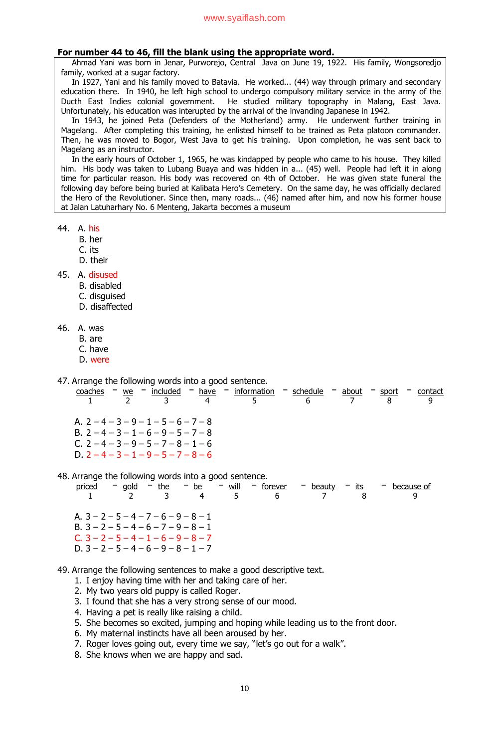#### **For number 44 to 46, fill the blank using the appropriate word.**

Ahmad Yani was born in Jenar, Purworejo, Central Java on June 19, 1922. His family, Wongsoredjo family, worked at a sugar factory.

In 1927, Yani and his family moved to Batavia. He worked... (44) way through primary and secondary education there. In 1940, he left high school to undergo compulsory military service in the army of the Ducth East Indies colonial government. He studied military topography in Malang, East Java. Unfortunately, his education was interupted by the arrival of the invanding Japanese in 1942.

In 1943, he joined Peta (Defenders of the Motherland) army. He underwent further training in Magelang. After completing this training, he enlisted himself to be trained as Peta platoon commander. Then, he was moved to Bogor, West Java to get his training. Upon completion, he was sent back to Magelang as an instructor.

In the early hours of October 1, 1965, he was kindapped by people who came to his house. They killed him. His body was taken to Lubang Buaya and was hidden in a... (45) well. People had left it in along time for particular reason. His body was recovered on 4th of October. He was given state funeral the following day before being buried at Kalibata Hero's Cemetery. On the same day, he was officially declared the Hero of the Revolutioner. Since then, many roads... (46) named after him, and now his former house at Jalan Latuharhary No. 6 Menteng, Jakarta becomes a museum

- 44. A. his
	- B. her
	- C. its
	- D. their

45. A. disused

- B. disabled
- C. disguised
- D. disaffected
- 46. A. was
	- B. are
	- C. have
	- D. were

47. Arrange the following words into a good sentence.

coaches **–** we **–** included **–** have **–** information **–** schedule **–** about **–** sport **–** contact 1 2 3 4 5 6 7 8 9 A.  $2 - 4 - 3 - 9 - 1 - 5 - 6 - 7 - 8$ B.  $2 - 4 - 3 - 1 - 6 - 9 - 5 - 7 - 8$ C.  $2 - 4 - 3 - 9 - 5 - 7 - 8 - 1 - 6$ D.  $2 - 4 - 3 - 1 - 9 - 5 - 7 - 8 - 6$ 

48. Arrange the following words into a good sentence.

| priced | - gold                                 | $-$ the $-$ be $-$ will |      | - forever | - beauty | – its | because of |
|--------|----------------------------------------|-------------------------|------|-----------|----------|-------|------------|
|        |                                        |                         | $-5$ | 6         |          |       |            |
|        | A. $3 - 2 - 5 - 4 - 7 - 6 - 9 - 8 - 1$ |                         |      |           |          |       |            |
|        | B. $3 - 2 - 5 - 4 - 6 - 7 - 9 - 8 - 1$ |                         |      |           |          |       |            |
|        | $C. 3 - 2 - 5 - 4 - 1 - 6 - 9 - 8 - 7$ |                         |      |           |          |       |            |
|        | D. $3 - 2 - 5 - 4 - 6 - 9 - 8 - 1 - 7$ |                         |      |           |          |       |            |

49. Arrange the following sentences to make a good descriptive text.

- 1. I enjoy having time with her and taking care of her.
- 2. My two years old puppy is called Roger.
- 3. I found that she has a very strong sense of our mood.
- 4. Having a pet is really like raising a child.
- 5. She becomes so excited, jumping and hoping while leading us to the front door.
- 6. My maternal instincts have all been aroused by her.
- 7. Roger loves going out, every time we say, "let"s go out for a walk".
- 8. She knows when we are happy and sad.